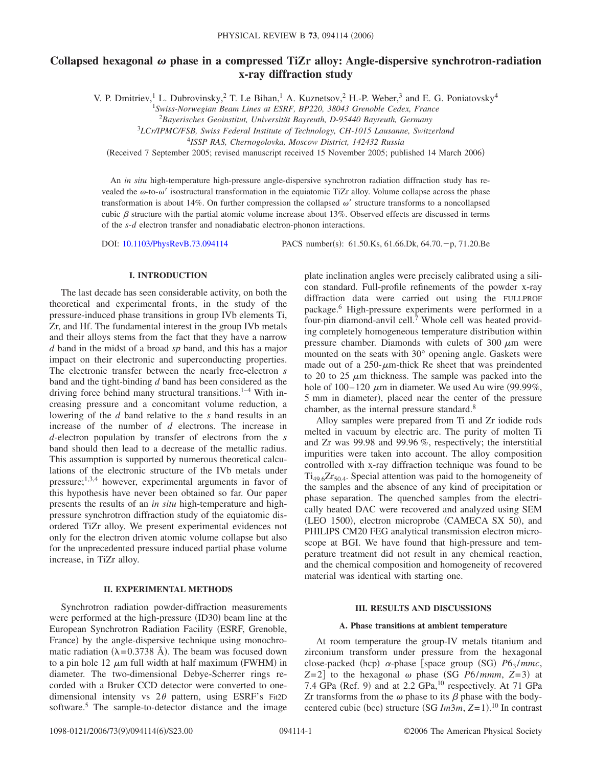# Collapsed hexagonal  $\omega$  phase in a compressed TiZr alloy: Angle-dispersive synchrotron-radiation **x-ray diffraction study**

V. P. Dmitriev,<sup>1</sup> L. Dubrovinsky,<sup>2</sup> T. Le Bihan,<sup>1</sup> A. Kuznetsov,<sup>2</sup> H.-P. Weber,<sup>3</sup> and E. G. Poniatovsky<sup>4</sup>

<sup>1</sup>*Swiss-Norwegian Beam Lines at ESRF, BP220, 38043 Grenoble Cedex, France*

2 *Bayerisches Geoinstitut, Universität Bayreuth, D-95440 Bayreuth, Germany*

<sup>3</sup>*LCr/IPMC/FSB, Swiss Federal Institute of Technology, CH-1015 Lausanne, Switzerland*

<sup>4</sup>*ISSP RAS, Chernogolovka, Moscow District, 142432 Russia*

(Received 7 September 2005; revised manuscript received 15 November 2005; published 14 March 2006)

An *in situ* high-temperature high-pressure angle-dispersive synchrotron radiation diffraction study has revealed the  $\omega$ -to- $\omega'$  isostructural transformation in the equiatomic TiZr alloy. Volume collapse across the phase transformation is about 14%. On further compression the collapsed  $\omega'$  structure transforms to a noncollapsed cubic  $\beta$  structure with the partial atomic volume increase about 13%. Observed effects are discussed in terms of the *s*-*d* electron transfer and nonadiabatic electron-phonon interactions.

DOI: [10.1103/PhysRevB.73.094114](http://dx.doi.org/10.1103/PhysRevB.73.094114)

PACS number(s): 61.50.Ks, 61.66.Dk, 64.70.-p, 71.20.Be

# **I. INTRODUCTION**

The last decade has seen considerable activity, on both the theoretical and experimental fronts, in the study of the pressure-induced phase transitions in group IVb elements Ti, Zr, and Hf. The fundamental interest in the group IVb metals and their alloys stems from the fact that they have a narrow *d* band in the midst of a broad *sp* band, and this has a major impact on their electronic and superconducting properties. The electronic transfer between the nearly free-electron *s* band and the tight-binding *d* band has been considered as the driving force behind many structural transitions.<sup>1-4</sup> With increasing pressure and a concomitant volume reduction, a lowering of the *d* band relative to the *s* band results in an increase of the number of *d* electrons. The increase in *d*-electron population by transfer of electrons from the *s* band should then lead to a decrease of the metallic radius. This assumption is supported by numerous theoretical calculations of the electronic structure of the IVb metals under pressure;1,3,4 however, experimental arguments in favor of this hypothesis have never been obtained so far. Our paper presents the results of an *in situ* high-temperature and highpressure synchrotron diffraction study of the equiatomic disordered TiZr alloy. We present experimental evidences not only for the electron driven atomic volume collapse but also for the unprecedented pressure induced partial phase volume increase, in TiZr alloy.

### **II. EXPERIMENTAL METHODS**

Synchrotron radiation powder-diffraction measurements were performed at the high-pressure (ID30) beam line at the European Synchrotron Radiation Facility ESRF, Grenoble, France) by the angle-dispersive technique using monochromatic radiation ( $\lambda$ =0.3738 Å). The beam was focused down to a pin hole 12  $\mu$ m full width at half maximum (FWHM) in diameter. The two-dimensional Debye-Scherrer rings recorded with a Bruker CCD detector were converted to onedimensional intensity vs  $2\theta$  pattern, using ESRF's Fit2D software.<sup>5</sup> The sample-to-detector distance and the image

plate inclination angles were precisely calibrated using a silicon standard. Full-profile refinements of the powder x-ray diffraction data were carried out using the FULLPROF package.6 High-pressure experiments were performed in a four-pin diamond-anvil cell.<sup>7</sup> Whole cell was heated providing completely homogeneous temperature distribution within pressure chamber. Diamonds with culets of 300  $\mu$ m were mounted on the seats with 30° opening angle. Gaskets were made out of a  $250$ - $\mu$ m-thick Re sheet that was preindented to 20 to 25  $\mu$ m thickness. The sample was packed into the hole of  $100-120 \mu m$  in diameter. We used Au wire (99.99%, 5 mm in diameter), placed near the center of the pressure chamber, as the internal pressure standard.<sup>8</sup>

Alloy samples were prepared from Ti and Zr iodide rods melted in vacuum by electric arc. The purity of molten Ti and Zr was 99.98 and 99.96 %, respectively; the interstitial impurities were taken into account. The alloy composition controlled with x-ray diffraction technique was found to be  $Ti_{49.6}Zr_{50.4}$ . Special attention was paid to the homogeneity of the samples and the absence of any kind of precipitation or phase separation. The quenched samples from the electrically heated DAC were recovered and analyzed using SEM (LEO 1500), electron microprobe (CAMECA SX 50), and PHILIPS CM20 FEG analytical transmission electron microscope at BGI. We have found that high-pressure and temperature treatment did not result in any chemical reaction, and the chemical composition and homogeneity of recovered material was identical with starting one.

# **III. RESULTS AND DISCUSSIONS**

### **A. Phase transitions at ambient temperature**

At room temperature the group-IV metals titanium and zirconium transform under pressure from the hexagonal close-packed (hcp)  $\alpha$ -phase [space group (SG)  $P6_3 / mmc$ ,  $Z=2$  to the hexagonal  $\omega$  phase (SG *P6/mmm*,  $Z=3$ ) at 7.4 GPa (Ref. 9) and at 2.2 GPa, $^{10}$  respectively. At 71 GPa Zr transforms from the  $\omega$  phase to its  $\beta$  phase with the bodycentered cubic (bcc) structure (SG *Im3m*, *Z*=1).<sup>10</sup> In contrast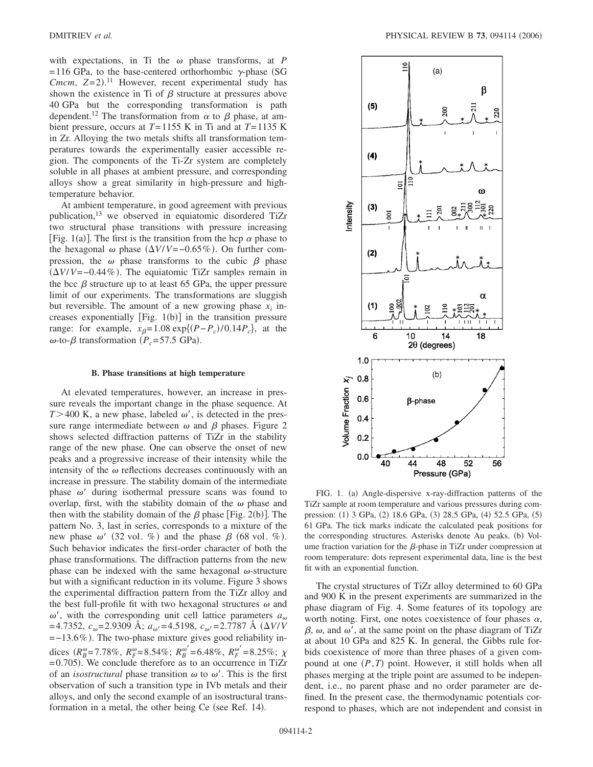with expectations, in Ti the  $\omega$  phase transforms, at *P*  $=$  116 GPa, to the base-centered orthorhombic  $\gamma$ -phase (SG *Cmcm*,  $Z=2$ ).<sup>11</sup> However, recent experimental study has shown the existence in Ti of  $\beta$  structure at pressures above 40 GPa but the corresponding transformation is path dependent.<sup>12</sup> The transformation from  $\alpha$  to  $\beta$  phase, at ambient pressure, occurs at *T*=1155 K in Ti and at *T*=1135 K in Zr. Alloying the two metals shifts all transformation temperatures towards the experimentally easier accessible region. The components of the Ti-Zr system are completely soluble in all phases at ambient pressure, and corresponding alloys show a great similarity in high-pressure and hightemperature behavior.

At ambient temperature, in good agreement with previous publication,13 we observed in equiatomic disordered TiZr two structural phase transitions with pressure increasing [Fig. 1(a)]. The first is the transition from the hcp  $\alpha$  phase to the hexagonal  $\omega$  phase  $(\Delta V/V = -0.65\%)$ . On further compression, the  $\omega$  phase transforms to the cubic  $\beta$  phase  $(\Delta V/V = -0.44\%)$ . The equiatomic TiZr samples remain in the bcc  $\beta$  structure up to at least 65 GPa, the upper pressure limit of our experiments. The transformations are sluggish but reversible. The amount of a new growing phase  $x_i$  increases exponentially  $[Fig. 1(b)]$  in the transition pressure range: for example,  $x_{\beta} = 1.08 \exp\{(P - P_c)/0.14 P_c\}$ , at the  $\omega$ -to- $\beta$  transformation ( $P_c$ =57.5 GPa).

### **B. Phase transitions at high temperature**

At elevated temperatures, however, an increase in pressure reveals the important change in the phase sequence. At  $T > 400$  K, a new phase, labeled  $\omega'$ , is detected in the pressure range intermediate between  $\omega$  and  $\beta$  phases. Figure 2 shows selected diffraction patterns of TiZr in the stability range of the new phase. One can observe the onset of new peaks and a progressive increase of their intensity while the intensity of the  $\omega$  reflections decreases continuously with an increase in pressure. The stability domain of the intermediate phase  $\omega'$  during isothermal pressure scans was found to overlap, first, with the stability domain of the  $\omega$  phase and then with the stability domain of the  $\beta$  phase [Fig. 2(b)]. The pattern No. 3, last in series, corresponds to a mixture of the new phase  $\omega'$  (32 vol. %) and the phase  $\beta$  (68 vol. %). Such behavior indicates the first-order character of both the phase transformations. The diffraction patterns from the new phase can be indexed with the same hexagonal  $\omega$ -structure but with a significant reduction in its volume. Figure 3 shows the experimental diffraction pattern from the TiZr alloy and the best full-profile fit with two hexagonal structures  $\omega$  and  $\omega'$ , with the corresponding unit cell lattice parameters  $a_{\omega}$  $=4.7352, c_{\omega}=2.9309 \text{ Å}; a_{\omega'}=4.5198, c_{\omega'}=2.7787 \text{ Å } (\Delta V/V)$  $=$  -13.6%). The two-phase mixture gives good reliability indices  $(R_B^{\omega} = 7.78\%, R_F^{\omega} = 8.54\%; R_B^{\omega'} = 6.48\%, R_F^{\omega'} = 8.25\%; \chi$  $= 0.705$ ). We conclude therefore as to an occurrence in TiZr of an *isostructural* phase transition  $\omega$  to  $\omega'$ . This is the first observation of such a transition type in IVb metals and their alloys, and only the second example of an isostructural transformation in a metal, the other being Ce (see Ref. 14).



FIG. 1. (a) Angle-dispersive x-ray-diffraction patterns of the TiZr sample at room temperature and various pressures during compression: (1) 3 GPa, (2) 18.6 GPa, (3) 28.5 GPa, (4) 52.5 GPa, (5) 61 GPa. The tick marks indicate the calculated peak positions for the corresponding structures. Asterisks denote Au peaks. (b) Volume fraction variation for the  $\beta$ -phase in TiZr under compression at room temperature: dots represent experimental data, line is the best fit with an exponential function.

The crystal structures of TiZr alloy determined to 60 GPa and 900 K in the present experiments are summarized in the phase diagram of Fig. 4. Some features of its topology are worth noting. First, one notes coexistence of four phases  $\alpha$ ,  $\beta$ ,  $\omega$ , and  $\omega'$ , at the same point on the phase diagram of TiZr at about 10 GPa and 825 K. In general, the Gibbs rule forbids coexistence of more than three phases of a given compound at one  $(P, T)$  point. However, it still holds when all phases merging at the triple point are assumed to be independent, i.e., no parent phase and no order parameter are defined. In the present case, the thermodynamic potentials correspond to phases, which are not independent and consist in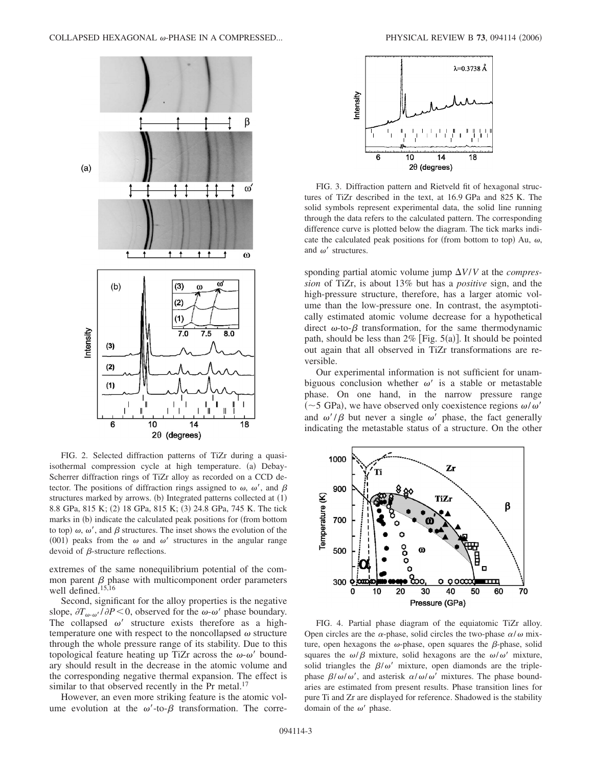

FIG. 2. Selected diffraction patterns of TiZr during a quasiisothermal compression cycle at high temperature. (a) Debay-Scherrer diffraction rings of TiZr alloy as recorded on a CCD detector. The positions of diffraction rings assigned to  $\omega$ ,  $\omega'$ , and  $\beta$ structures marked by arrows. (b) Integrated patterns collected at (1) 8.8 GPa, 815 K; (2) 18 GPa, 815 K; (3) 24.8 GPa, 745 K. The tick marks in (b) indicate the calculated peak positions for (from bottom to top)  $\omega$ ,  $\omega'$ , and  $\beta$  structures. The inset shows the evolution of the (001) peaks from the  $\omega$  and  $\omega'$  structures in the angular range devoid of  $\beta$ -structure reflections.

extremes of the same nonequilibrium potential of the common parent  $\beta$  phase with multicomponent order parameters well defined.<sup>15,16</sup>

Second, significant for the alloy properties is the negative slope,  $\partial T_{\omega-\omega'}/\partial P$  < 0, observed for the  $\omega-\omega'$  phase boundary. The collapsed  $\omega'$  structure exists therefore as a hightemperature one with respect to the noncollapsed  $\omega$  structure through the whole pressure range of its stability. Due to this topological feature heating up TiZr across the  $\omega$ - $\omega'$  boundary should result in the decrease in the atomic volume and the corresponding negative thermal expansion. The effect is similar to that observed recently in the Pr metal.<sup>17</sup>

However, an even more striking feature is the atomic volume evolution at the  $\omega'$ -to- $\beta$  transformation. The corre-



FIG. 3. Diffraction pattern and Rietveld fit of hexagonal structures of TiZr described in the text, at 16.9 GPa and 825 K. The solid symbols represent experimental data, the solid line running through the data refers to the calculated pattern. The corresponding difference curve is plotted below the diagram. The tick marks indicate the calculated peak positions for (from bottom to top) Au,  $\omega$ , and  $\omega'$  structures.

sponding partial atomic volume jump  $\Delta V/V$  at the *compression* of TiZr, is about 13% but has a *positive* sign, and the high-pressure structure, therefore, has a larger atomic volume than the low-pressure one. In contrast, the asymptotically estimated atomic volume decrease for a hypothetical direct  $\omega$ -to- $\beta$  transformation, for the same thermodynamic path, should be less than  $2\%$  [Fig. 5(a)]. It should be pointed out again that all observed in TiZr transformations are reversible.

Our experimental information is not sufficient for unambiguous conclusion whether  $\omega'$  is a stable or metastable phase. On one hand, in the narrow pressure range (~5 GPa), we have observed only coexistence regions  $\omega/\omega'$ and  $\omega'/\beta$  but never a single  $\omega'$  phase, the fact generally indicating the metastable status of a structure. On the other



FIG. 4. Partial phase diagram of the equiatomic TiZr alloy. Open circles are the  $\alpha$ -phase, solid circles the two-phase  $\alpha/\omega$  mixture, open hexagons the  $\omega$ -phase, open squares the  $\beta$ -phase, solid squares the  $\omega/\beta$  mixture, solid hexagons are the  $\omega/\omega'$  mixture, solid triangles the  $\beta/\omega'$  mixture, open diamonds are the triplephase  $\beta/\omega/\omega'$ , and asterisk  $\alpha/\omega/\omega'$  mixtures. The phase boundaries are estimated from present results. Phase transition lines for pure Ti and Zr are displayed for reference. Shadowed is the stability domain of the  $\omega'$  phase.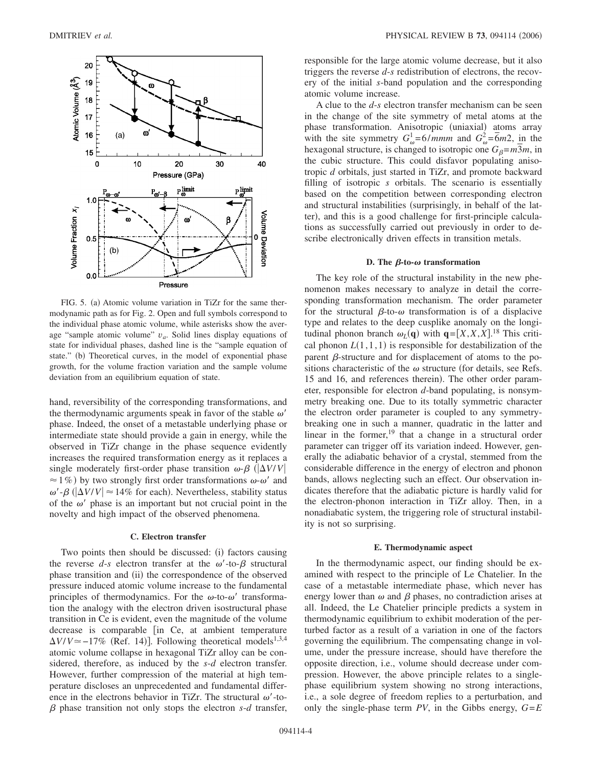

FIG. 5. (a) Atomic volume variation in TiZr for the same thermodynamic path as for Fig. 2. Open and full symbols correspond to the individual phase atomic volume, while asterisks show the average "sample atomic volume"  $v_a$ . Solid lines display equations of state for individual phases, dashed line is the "sample equation of state." (b) Theoretical curves, in the model of exponential phase growth, for the volume fraction variation and the sample volume deviation from an equilibrium equation of state.

hand, reversibility of the corresponding transformations, and the thermodynamic arguments speak in favor of the stable  $\omega'$ phase. Indeed, the onset of a metastable underlying phase or intermediate state should provide a gain in energy, while the observed in TiZr change in the phase sequence evidently increases the required transformation energy as it replaces a single moderately first-order phase transition  $\omega$ - $\beta$  ( $|\Delta V/V|$  $\approx$  1%) by two strongly first order transformations  $\omega$ - $\omega'$  and  $\omega'$ - $\beta$  ( $|\Delta V/V|$   $\approx$  14% for each). Nevertheless, stability status of the  $\omega'$  phase is an important but not crucial point in the novelty and high impact of the observed phenomena.

# **C. Electron transfer**

Two points then should be discussed: (i) factors causing the reverse  $d-s$  electron transfer at the  $\omega'$ -to- $\beta$  structural phase transition and (ii) the correspondence of the observed pressure induced atomic volume increase to the fundamental principles of thermodynamics. For the  $\omega$ -to- $\omega'$  transformation the analogy with the electron driven isostructural phase transition in Ce is evident, even the magnitude of the volume decrease is comparable [in Ce, at ambient temperature  $\Delta V/V \approx -17\%$  (Ref. 14)]. Following theoretical models<sup>1,3,4</sup> atomic volume collapse in hexagonal TiZr alloy can be considered, therefore, as induced by the *s*-*d* electron transfer. However, further compression of the material at high temperature discloses an unprecedented and fundamental difference in the electrons behavior in TiZr. The structural  $\omega'$ -to- $\beta$  phase transition not only stops the electron  $s$ - $d$  transfer,

responsible for the large atomic volume decrease, but it also triggers the reverse *d*-*s* redistribution of electrons, the recovery of the initial *s*-band population and the corresponding atomic volume increase.

A clue to the *d*-*s* electron transfer mechanism can be seen in the change of the site symmetry of metal atoms at the phase transformation. Anisotropic (uniaxial) atoms array with the site symmetry  $G_{\omega}^1 = 6/mmm$  and  $G_{\omega}^2 = 6m^2$ , in the hexagonal structure, is changed to isotropic one  $G_\beta = m^2m$ , in the cubic structure. This could disfavor populating anisotropic *d* orbitals, just started in TiZr, and promote backward filling of isotropic *s* orbitals. The scenario is essentially based on the competition between corresponding electron and structural instabilities (surprisingly, in behalf of the latter), and this is a good challenge for first-principle calculations as successfully carried out previously in order to describe electronically driven effects in transition metals.

## **D.** The  $\beta$ -to- $\omega$  transformation

The key role of the structural instability in the new phenomenon makes necessary to analyze in detail the corresponding transformation mechanism. The order parameter for the structural  $\beta$ -to- $\omega$  transformation is of a displacive type and relates to the deep cusplike anomaly on the longitudinal phonon branch  $\omega_L(\mathbf{q})$  with  $\mathbf{q} = [X, X, X]$ .<sup>18</sup> This critical phonon  $L(1,1,1)$  is responsible for destabilization of the parent  $\beta$ -structure and for displacement of atoms to the positions characteristic of the  $\omega$  structure (for details, see Refs. 15 and 16, and references therein). The other order parameter, responsible for electron *d*-band populating, is nonsymmetry breaking one. Due to its totally symmetric character the electron order parameter is coupled to any symmetrybreaking one in such a manner, quadratic in the latter and linear in the former,<sup>19</sup> that a change in a structural order parameter can trigger off its variation indeed. However, generally the adiabatic behavior of a crystal, stemmed from the considerable difference in the energy of electron and phonon bands, allows neglecting such an effect. Our observation indicates therefore that the adiabatic picture is hardly valid for the electron-phonon interaction in TiZr alloy. Then, in a nonadiabatic system, the triggering role of structural instability is not so surprising.

# **E. Thermodynamic aspect**

In the thermodynamic aspect, our finding should be examined with respect to the principle of Le Chatelier. In the case of a metastable intermediate phase, which never has energy lower than  $\omega$  and  $\beta$  phases, no contradiction arises at all. Indeed, the Le Chatelier principle predicts a system in thermodynamic equilibrium to exhibit moderation of the perturbed factor as a result of a variation in one of the factors governing the equilibrium. The compensating change in volume, under the pressure increase, should have therefore the opposite direction, i.e., volume should decrease under compression. However, the above principle relates to a singlephase equilibrium system showing no strong interactions, i.e., a sole degree of freedom replies to a perturbation, and only the single-phase term  $PV$ , in the Gibbs energy,  $G = E$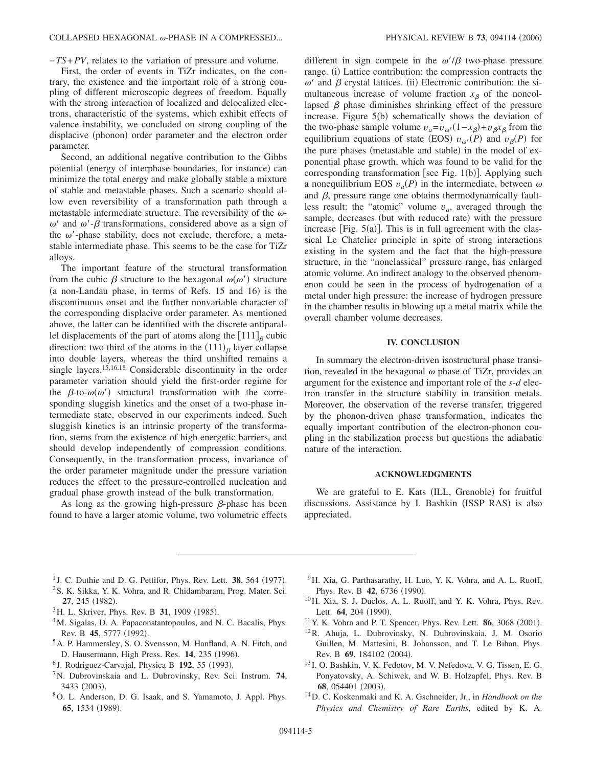−*TS*+*PV*, relates to the variation of pressure and volume.

First, the order of events in TiZr indicates, on the contrary, the existence and the important role of a strong coupling of different microscopic degrees of freedom. Equally with the strong interaction of localized and delocalized electrons, characteristic of the systems, which exhibit effects of valence instability, we concluded on strong coupling of the displacive (phonon) order parameter and the electron order parameter.

Second, an additional negative contribution to the Gibbs potential (energy of interphase boundaries, for instance) can minimize the total energy and make globally stable a mixture of stable and metastable phases. Such a scenario should allow even reversibility of a transformation path through a metastable intermediate structure. The reversibility of the  $\omega$ - $\omega'$  and  $\omega'$ - $\beta$  transformations, considered above as a sign of the  $\omega'$ -phase stability, does not exclude, therefore, a metastable intermediate phase. This seems to be the case for TiZr alloys.

The important feature of the structural transformation from the cubic  $\beta$  structure to the hexagonal  $\omega(\omega')$  structure (a non-Landau phase, in terms of Refs. 15 and 16) is the discontinuous onset and the further nonvariable character of the corresponding displacive order parameter. As mentioned above, the latter can be identified with the discrete antiparallel displacements of the part of atoms along the  $[111]_\beta$  cubic direction: two third of the atoms in the  $(111)_{\beta}$  layer collapse into double layers, whereas the third unshifted remains a single layers.<sup>15,16,18</sup> Considerable discontinuity in the order parameter variation should yield the first-order regime for the  $\beta$ -to- $\omega(\omega')$  structural transformation with the corresponding sluggish kinetics and the onset of a two-phase intermediate state, observed in our experiments indeed. Such sluggish kinetics is an intrinsic property of the transformation, stems from the existence of high energetic barriers, and should develop independently of compression conditions. Consequently, in the transformation process, invariance of the order parameter magnitude under the pressure variation reduces the effect to the pressure-controlled nucleation and gradual phase growth instead of the bulk transformation.

As long as the growing high-pressure  $\beta$ -phase has been found to have a larger atomic volume, two volumetric effects

different in sign compete in the  $\omega'/\beta$  two-phase pressure range. (i) Lattice contribution: the compression contracts the  $\omega'$  and  $\beta$  crystal lattices. (ii) Electronic contribution: the simultaneous increase of volume fraction  $x_{\beta}$  of the noncollapsed  $\beta$  phase diminishes shrinking effect of the pressure increase. Figure 5(b) schematically shows the deviation of the two-phase sample volume  $v_a = v_{\omega'}(1 - x_\beta) + v_\beta x_\beta$  from the equilibrium equations of state (EOS)  $v_{\omega}(P)$  and  $v_{\beta}(P)$  for the pure phases (metastable and stable) in the model of exponential phase growth, which was found to be valid for the corresponding transformation [see Fig.  $1(b)$ ]. Applying such a nonequilibrium EOS  $v_a(P)$  in the intermediate, between  $\omega$ and  $\beta$ , pressure range one obtains thermodynamically faultless result: the "atomic" volume *va*, averaged through the sample, decreases (but with reduced rate) with the pressure increase [Fig.  $5(a)$ ]. This is in full agreement with the classical Le Chatelier principle in spite of strong interactions existing in the system and the fact that the high-pressure structure, in the "nonclassical" pressure range, has enlarged atomic volume. An indirect analogy to the observed phenomenon could be seen in the process of hydrogenation of a metal under high pressure: the increase of hydrogen pressure in the chamber results in blowing up a metal matrix while the overall chamber volume decreases.

### **IV. CONCLUSION**

In summary the electron-driven isostructural phase transition, revealed in the hexagonal  $\omega$  phase of TiZr, provides an argument for the existence and important role of the *s*-*d* electron transfer in the structure stability in transition metals. Moreover, the observation of the reverse transfer, triggered by the phonon-driven phase transformation, indicates the equally important contribution of the electron-phonon coupling in the stabilization process but questions the adiabatic nature of the interaction.

#### **ACKNOWLEDGMENTS**

We are grateful to E. Kats (ILL, Grenoble) for fruitful discussions. Assistance by I. Bashkin (ISSP RAS) is also appreciated.

- <sup>1</sup> J. C. Duthie and D. G. Pettifor, Phys. Rev. Lett. **38**, 564 (1977).
- <sup>2</sup>S. K. Sikka, Y. K. Vohra, and R. Chidambaram, Prog. Mater. Sci. 27, 245 (1982).
- <sup>3</sup>H. L. Skriver, Phys. Rev. B **31**, 1909 (1985).
- <sup>4</sup>M. Sigalas, D. A. Papaconstantopoulos, and N. C. Bacalis, Phys. Rev. B 45, 5777 (1992).
- 5A. P. Hammersley, S. O. Svensson, M. Hanfland, A. N. Fitch, and D. Hausermann, High Press. Res. 14, 235 (1996).
- <sup>6</sup> J. Rodriguez-Carvajal, Physica B 192, 55 (1993).
- 7N. Dubrovinskaia and L. Dubrovinsky, Rev. Sci. Instrum. **74**, 3433 (2003).
- 8O. L. Anderson, D. G. Isaak, and S. Yamamoto, J. Appl. Phys. 65, 1534 (1989).
- 9H. Xia, G. Parthasarathy, H. Luo, Y. K. Vohra, and A. L. Ruoff, Phys. Rev. B 42, 6736 (1990).
- 10H. Xia, S. J. Duclos, A. L. Ruoff, and Y. K. Vohra, Phys. Rev. Lett. **64**, 204 (1990).
- $11$  Y. K. Vohra and P. T. Spencer, Phys. Rev. Lett.  $86$ , 3068 (2001).
- 12R. Ahuja, L. Dubrovinsky, N. Dubrovinskaia, J. M. Osorio Guillen, M. Mattesini, B. Johansson, and T. Le Bihan, Phys. Rev. B 69, 184102 (2004).
- <sup>13</sup> I. O. Bashkin, V. K. Fedotov, M. V. Nefedova, V. G. Tissen, E. G. Ponyatovsky, A. Schiwek, and W. B. Holzapfel, Phys. Rev. B 68, 054401 (2003).
- 14D. C. Koskenmaki and K. A. Gschneider, Jr., in *Handbook on the Physics and Chemistry of Rare Earths*, edited by K. A.